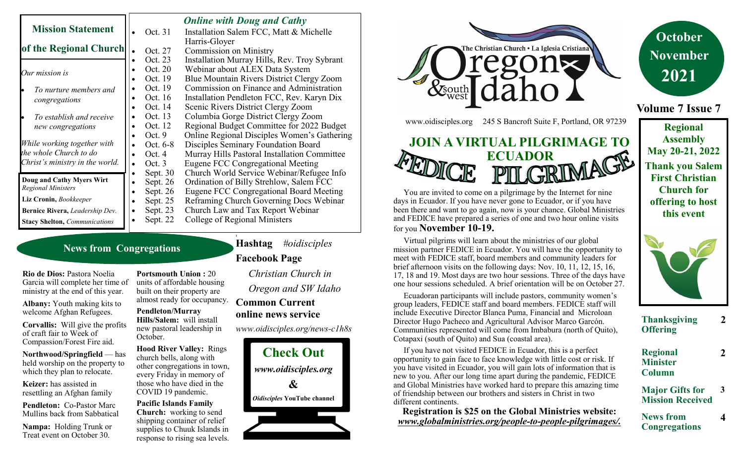|                                      |                       | <b>Online with Doug and Cathy</b>            |
|--------------------------------------|-----------------------|----------------------------------------------|
| <b>Mission Statement</b>             | Oct. 31               | Installation Salem FCC, Matt & Michelle      |
|                                      |                       | Harris-Gloyer                                |
| of the Regional Church               | Oct. 27<br>$\bullet$  | <b>Commission on Ministry</b>                |
|                                      | Oct. 23               | Installation Murray Hills, Rev. Troy Sybrant |
| Our mission is                       | Oct. 20               | Webinar about ALEX Data System               |
|                                      | Oct. 19               | Blue Mountain Rivers District Clergy Zoom    |
| To nurture members and               | Oct. 19               | Commission on Finance and Administration     |
| congregations                        | Oct. 16               | Installation Pendleton FCC, Rev. Karyn Dix   |
|                                      | Oct. 14<br>$\bullet$  | Scenic Rivers District Clergy Zoom           |
| To establish and receive             | Oct. 13               | Columbia Gorge District Clergy Zoom          |
| new congregations                    | Oct. 12               | Regional Budget Committee for 2022 Budget    |
|                                      | Oct. $9$              | Online Regional Disciples Women's Gathering  |
| While working together with          | Oct. 6-8              | Disciples Seminary Foundation Board          |
| the whole Church to do               | Oct. 4                | Murray Hills Pastoral Installation Committee |
| Christ's ministry in the world.      | Oct. 3                | Eugene FCC Congregational Meeting            |
|                                      | Sept. 30              | Church World Service Webinar/Refugee Info    |
| Doug and Cathy Myers Wirt            | Sept. 26              | Ordination of Billy Strehlow, Salem FCC      |
| <b>Regional Ministers</b>            | Sept. 26              | Eugene FCC Congregational Board Meeting      |
| Liz Cronin, Bookkeeper               | Sept. 25              | Reframing Church Governing Docs Webinar      |
| Bernice Rivera, Leadership Dev.      | Sept. 23<br>$\bullet$ | Church Law and Tax Report Webinar            |
| <b>Stacy Shelton, Communications</b> | Sept. 22              | College of Regional Ministers                |

#### **News from Congregations**

**Rio de Dios:** Pastora Noelia Garcia will complete her time of ministry at the end of this year.

**Albany:** Youth making kits to welcome Afghan Refugees.

**Corvallis:** Will give the profits of craft fair to Week of Compassion/Forest Fire aid.

**Northwood/Springfield** — has held worship on the property to which they plan to relocate.

**Keizer:** has assisted in resettling an Afghan family

**Pendleton:** Co-Pastor Marc Mullins back from Sabbatical

**Nampa:** Holding Trunk or Treat event on October 30.

**Portsmouth Union :** 20 units of affordable housing built on their property are almost ready for occupancy.

**Pendleton/Murray Hills/Salem:** will install new pastoral leadership in October.

**Hood River Valley:** Rings church bells, along with other congregations in town, every Friday in memory of those who have died in the COVID 19 pandemic.

**Pacific Islands Family Church:** working to send shipping container of relief supplies to Chuuk Islands in response to rising sea levels. **Facebook Page** *Christian Church in Oregon and SW Idaho* **Common Current** 

**Hashtag** *#oidisciples*

## **online news service**

**1**

*www.oidisciples.org/news-c1h8s*





# **JOIN A VIRTUAL PILGRIMAGE TO ECUADOR**

 You are invited to come on a pilgrimage by the Internet for nine days in Ecuador. If you have never gone to Ecuador, or if you have been there and want to go again, now is your chance. Global Ministries and FEDICE have prepared a series of one and two hour online visits for you **November 10-19.**

 Virtual pilgrims will learn about the ministries of our global mission partner FEDICE in Ecuador. You will have the opportunity to meet with FEDICE staff, board members and community leaders for brief afternoon visits on the following days: Nov. 10, 11, 12, 15, 16, 17, 18 and 19. Most days are two hour sessions. Three of the days have one hour sessions scheduled. A brief orientation will be on October 27.

 Ecuadoran participants will include pastors, community women's group leaders, FEDICE staff and board members. FEDICE staff will include Executive Director Blanca Puma, Financial and Microloan Director Hugo Pacheco and Agricultural Advisor Marco Garcón. Communities represented will come from Imbabura (north of Quito), Cotapaxi (south of Quito) and Sua (coastal area).

 If you have not visited FEDICE in Ecuador, this is a perfect opportunity to gain face to face knowledge with little cost or risk. If you have visited in Ecuador, you will gain lots of information that is new to you. After our long time apart during the pandemic, FEDICE and Global Ministries have worked hard to prepare this amazing time of friendship between our brothers and sisters in Christ in two different continents.

**Registration is \$25 on the Global Ministries website:** *www.globalministries.org/people-to-people-pilgrimages/.*

**October November 2021**

**Volume 7 Issue 7**

**Assembly May 20-21, 2022 Thank you Salem First Christian Church for offering to host this event**



| <b>Thanksgiving</b><br><b>Offering</b> |  |
|----------------------------------------|--|
| <b>Regional</b>                        |  |
| <b>Minister</b>                        |  |
| Column                                 |  |

#### **Major Gifts for Mission Received 3**

**News from Congregations 4**